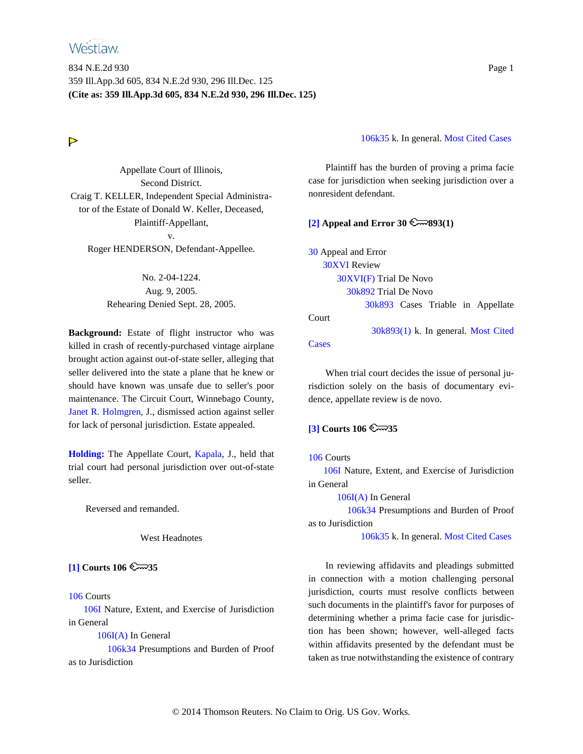# **Westlaw**

834 N.E.2d 930 Page 1 359 Ill.App.3d 605, 834 N.E.2d 930, 296 Ill.Dec. 125 **(Cite as: 359 Ill.App.3d 605, 834 N.E.2d 930, 296 Ill.Dec. 125)**

# $\triangleright$

Appellate Court of Illinois, Second District. Craig T. KELLER, Independent Special Administrator of the Estate of Donald W. Keller, Deceased, Plaintiff-Appellant, v. Roger HENDERSON, Defendant-Appellee.

> No. 2-04-1224. Aug. 9, 2005. Rehearing Denied Sept. 28, 2005.

**Background:** Estate of flight instructor who was killed in crash of recently-purchased vintage airplane brought action against out-of-state seller, alleging that seller delivered into the state a plane that he knew or should have known was unsafe due to seller's poor maintenance. The Circuit Court, Winnebago County, Janet R. Holmgren, J., dismissed action against seller for lack of personal jurisdiction. Estate appealed.

**[Holding:](#page-10-0)** The Appellate Court, Kapala, J., held that trial court had personal jurisdiction over out-of-state seller.

Reversed and remanded.

West Headnotes

<span id="page-0-0"></span>**[\[1\]](#page-8-0)** Courts 106  $\approx$  35

106 Courts

106I Nature, Extent, and Exercise of Jurisdiction in General

106I(A) In General

106k34 Presumptions and Burden of Proof as to Jurisdiction

106k35 k. In general. Most Cited Cases

Plaintiff has the burden of proving a prima facie case for jurisdiction when seeking jurisdiction over a nonresident defendant.

### **[\[2\]](#page-8-1) Appeal and Error 30**  $\mathbb{R}$  **893(1)**

30 Appeal and Error 30XVI Review 30XVI(F) Trial De Novo 30k892 Trial De Novo 30k893 Cases Triable in Appellate Court

30k893(1) k. In general. Most Cited

**Cases** 

When trial court decides the issue of personal jurisdiction solely on the basis of documentary evidence, appellate review is de novo.

# <span id="page-0-1"></span>**[\[3\]](#page-8-2)** Courts 106  $\approx$  35

### 106 Courts

106I Nature, Extent, and Exercise of Jurisdiction in General

106I(A) In General

106k34 Presumptions and Burden of Proof as to Jurisdiction

106k35 k. In general. Most Cited Cases

In reviewing affidavits and pleadings submitted in connection with a motion challenging personal jurisdiction, courts must resolve conflicts between such documents in the plaintiff's favor for purposes of determining whether a prima facie case for jurisdiction has been shown; however, well-alleged facts within affidavits presented by the defendant must be taken as true notwithstanding the existence of contrary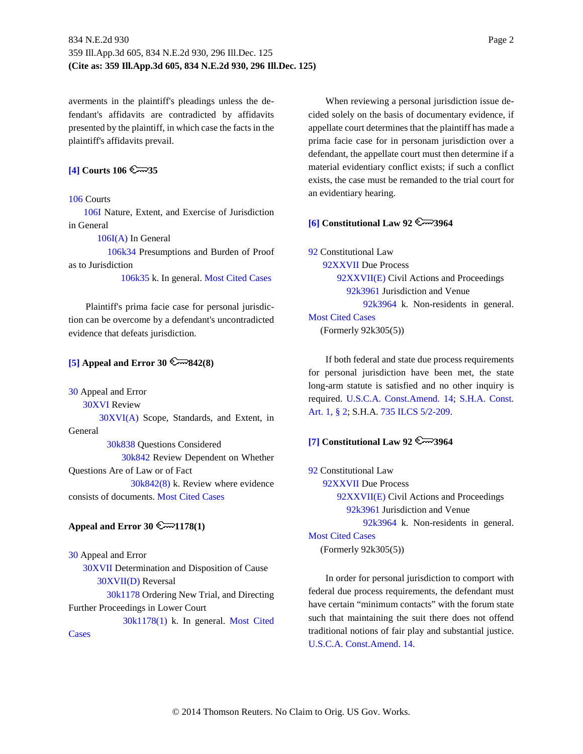averments in the plaintiff's pleadings unless the defendant's affidavits are contradicted by affidavits presented by the plaintiff, in which case the facts in the plaintiff's affidavits prevail.

# **[\[4\]](#page-8-3)** Courts 106  $\approx$  35

### 106 Courts

106I Nature, Extent, and Exercise of Jurisdiction in General

106I(A) In General

106k34 Presumptions and Burden of Proof as to Jurisdiction

106k35 k. In general. Most Cited Cases

Plaintiff's prima facie case for personal jurisdiction can be overcome by a defendant's uncontradicted evidence that defeats jurisdiction.

### <span id="page-1-0"></span>**[\[5\]](#page-8-4) Appeal and Error 30**  $\mathbb{R}$  **842(8)**

30 Appeal and Error

30XVI Review

30XVI(A) Scope, Standards, and Extent, in General

30k838 Questions Considered 30k842 Review Dependent on Whether Questions Are of Law or of Fact 30k842(8) k. Review where evidence consists of documents. Most Cited Cases

# **Appeal and Error 30**  $\mathbb{R}$  **1178(1)**

30 Appeal and Error 30XVII Determination and Disposition of Cause 30XVII(D) Reversal 30k1178 Ordering New Trial, and Directing Further Proceedings in Lower Court 30k1178(1) k. In general. Most Cited **Cases** 

When reviewing a personal jurisdiction issue decided solely on the basis of documentary evidence, if appellate court determines that the plaintiff has made a prima facie case for in personam jurisdiction over a defendant, the appellate court must then determine if a material evidentiary conflict exists; if such a conflict exists, the case must be remanded to the trial court for an evidentiary hearing.

### <span id="page-1-1"></span>**[\[6\]](#page-8-5) Constitutional Law 92 3964**

92 Constitutional Law

92XXVII Due Process 92XXVII(E) Civil Actions and Proceedings 92k3961 Jurisdiction and Venue 92k3964 k. Non-residents in general. Most Cited Cases (Formerly 92k305(5))

If both federal and state due process requirements for personal jurisdiction have been met, the state long-arm statute is satisfied and no other inquiry is required. U.S.C.A. Const.Amend. 14; S.H.A. Const. Art. 1, § 2; S.H.A. 735 ILCS 5/2-209.

# <span id="page-1-2"></span>**[\[7\]](#page-9-0) Constitutional Law 92**  $\mathbb{R}$  3964

92 Constitutional Law 92XXVII Due Process 92XXVII(E) Civil Actions and Proceedings 92k3961 Jurisdiction and Venue 92k3964 k. Non-residents in general. Most Cited Cases

(Formerly 92k305(5))

In order for personal jurisdiction to comport with federal due process requirements, the defendant must have certain "minimum contacts" with the forum state such that maintaining the suit there does not offend traditional notions of fair play and substantial justice. U.S.C.A. Const.Amend. 14.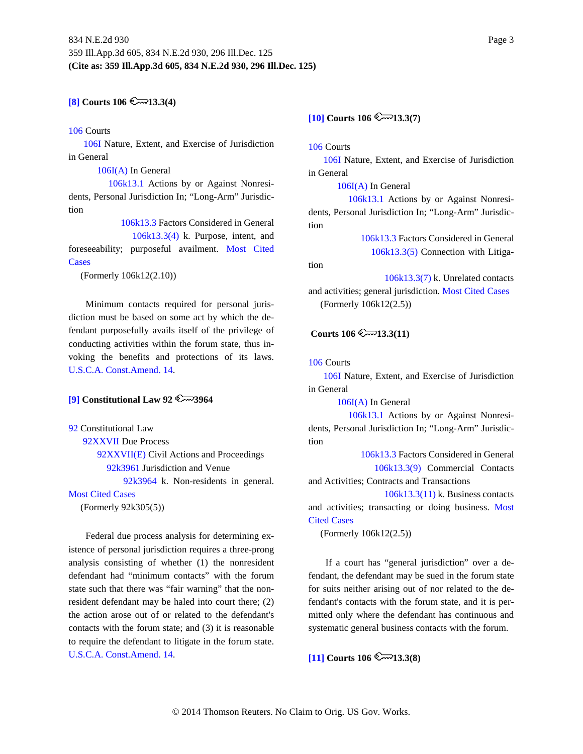# **[\[8\]](#page-9-1) Courts** 106  $\mathbb{C}$  13.3(4)

### 106 Courts

106I Nature, Extent, and Exercise of Jurisdiction in General

106I(A) In General

106k13.1 Actions by or Against Nonresidents, Personal Jurisdiction In; "Long-Arm" Jurisdiction

> 106k13.3 Factors Considered in General 106k13.3(4) k. Purpose, intent, and

foreseeability; purposeful availment. Most Cited Cases

(Formerly 106k12(2.10))

Minimum contacts required for personal jurisdiction must be based on some act by which the defendant purposefully avails itself of the privilege of conducting activities within the forum state, thus invoking the benefits and protections of its laws. U.S.C.A. Const.Amend. 14.

### <span id="page-2-0"></span>**[\[9\]](#page-9-2)** Constitutional Law  $92 \& \rightarrow 3964$

92 Constitutional Law

92XXVII Due Process 92XXVII(E) Civil Actions and Proceedings 92k3961 Jurisdiction and Venue 92k3964 k. Non-residents in general.

Most Cited Cases

(Formerly 92k305(5))

Federal due process analysis for determining existence of personal jurisdiction requires a three-prong analysis consisting of whether (1) the nonresident defendant had "minimum contacts" with the forum state such that there was "fair warning" that the nonresident defendant may be haled into court there; (2) the action arose out of or related to the defendant's contacts with the forum state; and (3) it is reasonable to require the defendant to litigate in the forum state. U.S.C.A. Const.Amend. 14.

# <span id="page-2-1"></span> $[10]$  Courts  $106$   $\sim$  13.3(7)

106 Courts

106I Nature, Extent, and Exercise of Jurisdiction in General

106I(A) In General 106k13.1 Actions by or Against Nonresidents, Personal Jurisdiction In; "Long-Arm" Jurisdiction

> 106k13.3 Factors Considered in General 106k13.3(5) Connection with Litiga-

tion

106k13.3(7) k. Unrelated contacts and activities; general jurisdiction. Most Cited Cases (Formerly 106k12(2.5))

### **Courts 106**  $\cong$  **13.3(11)**

106 Courts

106I Nature, Extent, and Exercise of Jurisdiction in General

106I(A) In General

106k13.1 Actions by or Against Nonresidents, Personal Jurisdiction In; "Long-Arm" Jurisdiction

> 106k13.3 Factors Considered in General 106k13.3(9) Commercial Contacts

and Activities; Contracts and Transactions

106k13.3(11) k. Business contacts and activities; transacting or doing business. Most Cited Cases

(Formerly 106k12(2.5))

If a court has "general jurisdiction" over a defendant, the defendant may be sued in the forum state for suits neither arising out of nor related to the defendant's contacts with the forum state, and it is permitted only where the defendant has continuous and systematic general business contacts with the forum.

 $[11]$  Courts  $106$   $\sim$  13.3(8)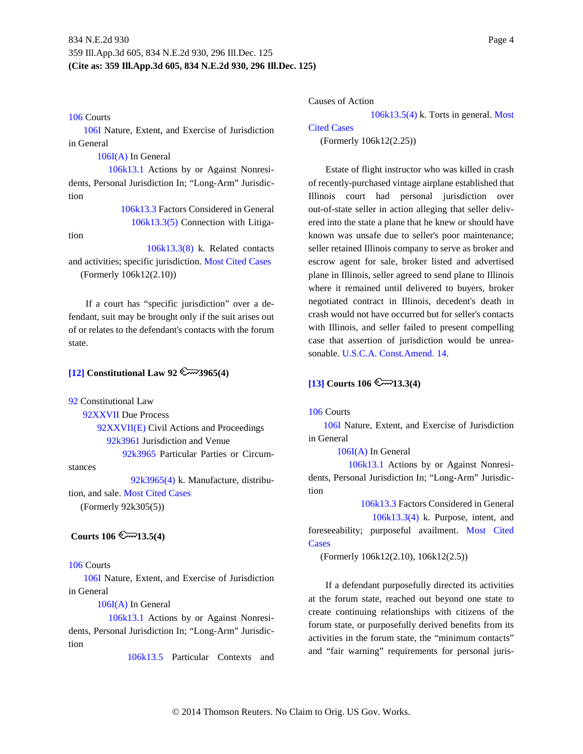#### 106 Courts

106I Nature, Extent, and Exercise of Jurisdiction in General

106I(A) In General

106k13.1 Actions by or Against Nonresidents, Personal Jurisdiction In; "Long-Arm" Jurisdiction

> 106k13.3 Factors Considered in General 106k13.3(5) Connection with Litiga-

tion

106k13.3(8) k. Related contacts

and activities; specific jurisdiction. Most Cited Cases (Formerly 106k12(2.10))

If a court has "specific jurisdiction" over a defendant, suit may be brought only if the suit arises out of or relates to the defendant's contacts with the forum state.

# <span id="page-3-0"></span>**[\[12\]](#page-10-0) Constitutional Law 92 3965(4)**

92 Constitutional Law

92XXVII Due Process 92XXVII(E) Civil Actions and Proceedings 92k3961 Jurisdiction and Venue 92k3965 Particular Parties or Circum-

stances

92k3965(4) k. Manufacture, distribution, and sale. Most Cited Cases (Formerly 92k305(5))

### **Courts 106**  $\cong$  13.5(4)

#### 106 Courts

106I Nature, Extent, and Exercise of Jurisdiction in General

106I(A) In General

106k13.1 Actions by or Against Nonresidents, Personal Jurisdiction In; "Long-Arm" Jurisdiction

106k13.5 Particular Contexts and

Causes of Action

106k13.5(4) k. Torts in general. Most

### Cited Cases

(Formerly 106k12(2.25))

Estate of flight instructor who was killed in crash of recently-purchased vintage airplane established that Illinois court had personal jurisdiction over out-of-state seller in action alleging that seller delivered into the state a plane that he knew or should have known was unsafe due to seller's poor maintenance; seller retained Illinois company to serve as broker and escrow agent for sale, broker listed and advertised plane in Illinois, seller agreed to send plane to Illinois where it remained until delivered to buyers, broker negotiated contract in Illinois, decedent's death in crash would not have occurred but for seller's contacts with Illinois, and seller failed to present compelling case that assertion of jurisdiction would be unreasonable. U.S.C.A. Const.Amend. 14.

### <span id="page-3-1"></span> $[13]$  Courts  $106$   $\sim$  13.3(4)

### 106 Courts

106I Nature, Extent, and Exercise of Jurisdiction in General

106I(A) In General

106k13.1 Actions by or Against Nonresidents, Personal Jurisdiction In; "Long-Arm" Jurisdiction

106k13.3 Factors Considered in General 106k13.3(4) k. Purpose, intent, and foreseeability; purposeful availment. Most Cited

**Cases** 

(Formerly 106k12(2.10), 106k12(2.5))

If a defendant purposefully directed its activities at the forum state, reached out beyond one state to create continuing relationships with citizens of the forum state, or purposefully derived benefits from its activities in the forum state, the "minimum contacts" and "fair warning" requirements for personal juris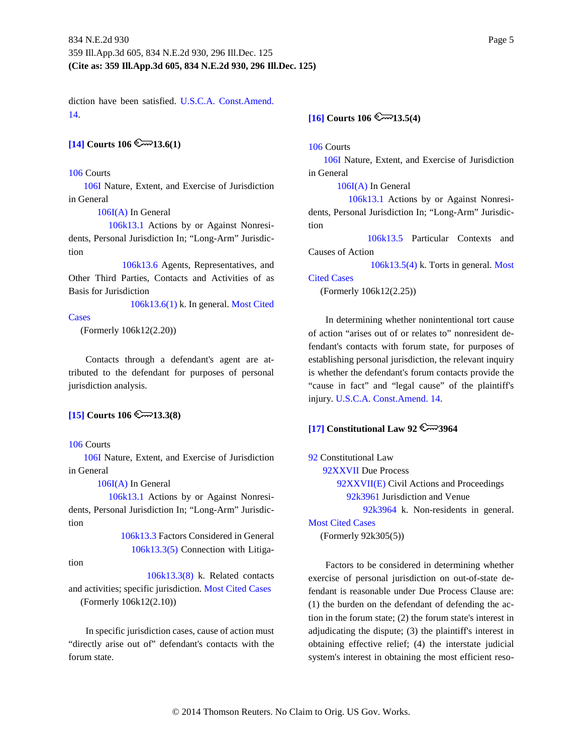diction have been satisfied. U.S.C.A. Const.Amend. 14.

# <span id="page-4-0"></span> $[14]$  Courts  $106$   $\infty$  13.6(1)

#### 106 Courts

106I Nature, Extent, and Exercise of Jurisdiction in General

106I(A) In General

106k13.1 Actions by or Against Nonresidents, Personal Jurisdiction In; "Long-Arm" Jurisdiction

106k13.6 Agents, Representatives, and Other Third Parties, Contacts and Activities of as Basis for Jurisdiction

106k13.6(1) k. In general. Most Cited

### **Cases**

(Formerly 106k12(2.20))

Contacts through a defendant's agent are attributed to the defendant for purposes of personal jurisdiction analysis.

### <span id="page-4-1"></span> $[15]$  Courts 106  $\infty$  13.3(8)

#### 106 Courts

106I Nature, Extent, and Exercise of Jurisdiction in General

106I(A) In General

106k13.1 Actions by or Against Nonresidents, Personal Jurisdiction In; "Long-Arm" Jurisdiction

> 106k13.3 Factors Considered in General 106k13.3(5) Connection with Litiga-

tion

106k13.3(8) k. Related contacts and activities; specific jurisdiction. Most Cited Cases (Formerly 106k12(2.10))

In specific jurisdiction cases, cause of action must "directly arise out of" defendant's contacts with the forum state.

# <span id="page-4-2"></span> $[16]$  Courts  $106$   $\sim$  13.5(4)

106 Courts

106I Nature, Extent, and Exercise of Jurisdiction in General

106I(A) In General

106k13.1 Actions by or Against Nonresidents, Personal Jurisdiction In; "Long-Arm" Jurisdiction

106k13.5 Particular Contexts and Causes of Action

106k13.5(4) k. Torts in general. Most

#### Cited Cases

(Formerly 106k12(2.25))

In determining whether nonintentional tort cause of action "arises out of or relates to" nonresident defendant's contacts with forum state, for purposes of establishing personal jurisdiction, the relevant inquiry is whether the defendant's forum contacts provide the "cause in fact" and "legal cause" of the plaintiff's injury. U.S.C.A. Const.Amend. 14.

### <span id="page-4-3"></span>**[\[17\]](#page-13-0) Constitutional Law 92 3964**

92 Constitutional Law

92XXVII Due Process

92XXVII(E) Civil Actions and Proceedings 92k3961 Jurisdiction and Venue

92k3964 k. Non-residents in general.

# Most Cited Cases

(Formerly 92k305(5))

Factors to be considered in determining whether exercise of personal jurisdiction on out-of-state defendant is reasonable under Due Process Clause are: (1) the burden on the defendant of defending the action in the forum state; (2) the forum state's interest in adjudicating the dispute; (3) the plaintiff's interest in obtaining effective relief; (4) the interstate judicial system's interest in obtaining the most efficient reso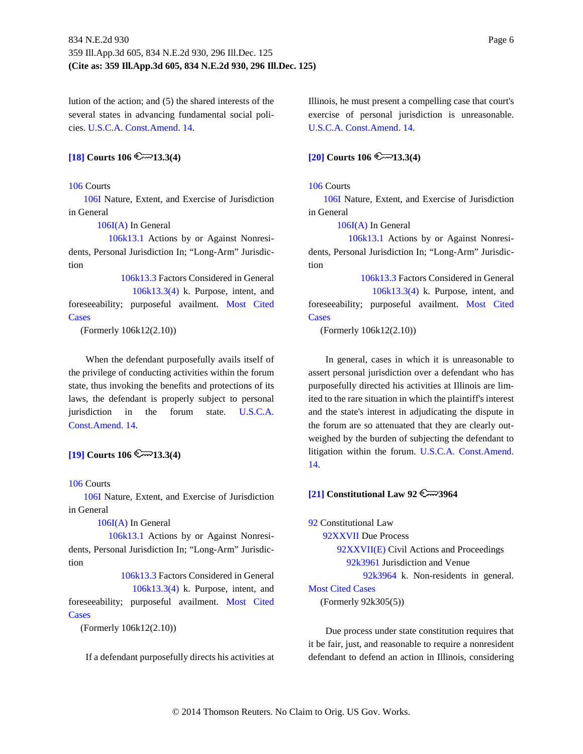lution of the action; and (5) the shared interests of the several states in advancing fundamental social policies. U.S.C.A. Const.Amend. 14.

# <span id="page-5-0"></span> $[18]$  Courts  $106$   $\sim$  13.3(4)

#### 106 Courts

106I Nature, Extent, and Exercise of Jurisdiction in General

106I(A) In General

106k13.1 Actions by or Against Nonresidents, Personal Jurisdiction In; "Long-Arm" Jurisdiction

106k13.3 Factors Considered in General 106k13.3(4) k. Purpose, intent, and foreseeability; purposeful availment. Most Cited Cases

(Formerly 106k12(2.10))

When the defendant purposefully avails itself of the privilege of conducting activities within the forum state, thus invoking the benefits and protections of its laws, the defendant is properly subject to personal jurisdiction in the forum state. U.S.C.A. Const.Amend. 14.

### **[\[19\]](#page-13-2) Courts** 106  $\cong$  13.3(4)

### 106 Courts

106I Nature, Extent, and Exercise of Jurisdiction in General

106I(A) In General

106k13.1 Actions by or Against Nonresidents, Personal Jurisdiction In; "Long-Arm" Jurisdiction

106k13.3 Factors Considered in General 106k13.3(4) k. Purpose, intent, and foreseeability; purposeful availment. Most Cited Cases

(Formerly 106k12(2.10))

If a defendant purposefully directs his activities at

Illinois, he must present a compelling case that court's exercise of personal jurisdiction is unreasonable. U.S.C.A. Const.Amend. 14.

# <span id="page-5-1"></span> $[20]$  **Courts** 106  $\cong$  13.3(4)

#### 106 Courts

106I Nature, Extent, and Exercise of Jurisdiction in General

106I(A) In General

106k13.1 Actions by or Against Nonresidents, Personal Jurisdiction In; "Long-Arm" Jurisdiction

106k13.3 Factors Considered in General 106k13.3(4) k. Purpose, intent, and foreseeability; purposeful availment. Most Cited **Cases** 

(Formerly 106k12(2.10))

In general, cases in which it is unreasonable to assert personal jurisdiction over a defendant who has purposefully directed his activities at Illinois are limited to the rare situation in which the plaintiff's interest and the state's interest in adjudicating the dispute in the forum are so attenuated that they are clearly outweighed by the burden of subjecting the defendant to litigation within the forum. U.S.C.A. Const.Amend. 14.

### <span id="page-5-2"></span> $[21]$  Constitutional Law 92

92 Constitutional Law 92XXVII Due Process 92XXVII(E) Civil Actions and Proceedings 92k3961 Jurisdiction and Venue 92k3964 k. Non-residents in general. Most Cited Cases (Formerly 92k305(5))

Due process under state constitution requires that it be fair, just, and reasonable to require a nonresident defendant to defend an action in Illinois, considering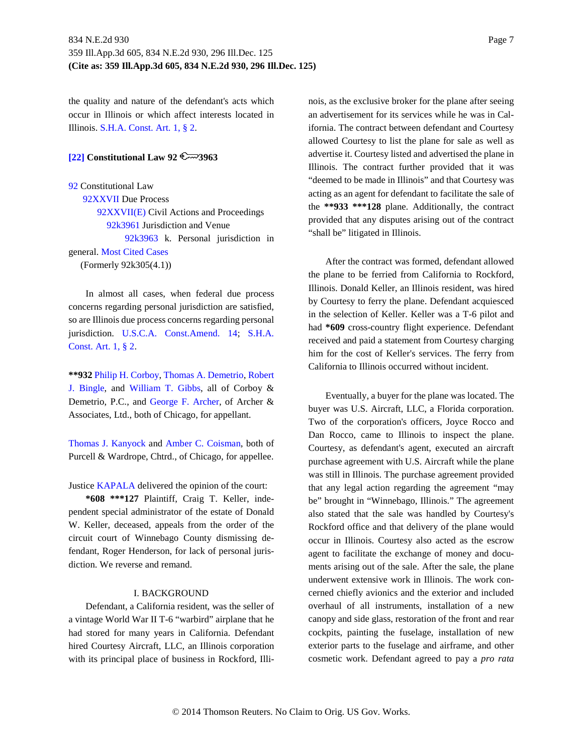the quality and nature of the defendant's acts which occur in Illinois or which affect interests located in Illinois. S.H.A. Const. Art. 1, § 2.

# <span id="page-6-0"></span>**[\[22\]](#page-14-1) Constitutional Law 92 3963**

92 Constitutional Law 92XXVII Due Process 92XXVII(E) Civil Actions and Proceedings 92k3961 Jurisdiction and Venue 92k3963 k. Personal jurisdiction in general. Most Cited Cases (Formerly 92k305(4.1))

In almost all cases, when federal due process concerns regarding personal jurisdiction are satisfied, so are Illinois due process concerns regarding personal jurisdiction. U.S.C.A. Const.Amend. 14; S.H.A. Const. Art. 1, § 2.

**\*\*932** Philip H. Corboy, Thomas A. Demetrio, Robert J. Bingle, and William T. Gibbs, all of Corboy & Demetrio, P.C., and George F. Archer, of Archer & Associates, Ltd., both of Chicago, for appellant.

Thomas J. Kanyock and Amber C. Coisman, both of Purcell & Wardrope, Chtrd., of Chicago, for appellee.

Justice KAPALA delivered the opinion of the court:

**\*608 \*\*\*127** Plaintiff, Craig T. Keller, independent special administrator of the estate of Donald W. Keller, deceased, appeals from the order of the circuit court of Winnebago County dismissing defendant, Roger Henderson, for lack of personal jurisdiction. We reverse and remand.

#### I. BACKGROUND

Defendant, a California resident, was the seller of a vintage World War II T-6 "warbird" airplane that he had stored for many years in California. Defendant hired Courtesy Aircraft, LLC, an Illinois corporation with its principal place of business in Rockford, Illinois, as the exclusive broker for the plane after seeing an advertisement for its services while he was in California. The contract between defendant and Courtesy allowed Courtesy to list the plane for sale as well as advertise it. Courtesy listed and advertised the plane in Illinois. The contract further provided that it was "deemed to be made in Illinois" and that Courtesy was acting as an agent for defendant to facilitate the sale of the **\*\*933 \*\*\*128** plane. Additionally, the contract provided that any disputes arising out of the contract "shall be" litigated in Illinois.

After the contract was formed, defendant allowed the plane to be ferried from California to Rockford, Illinois. Donald Keller, an Illinois resident, was hired by Courtesy to ferry the plane. Defendant acquiesced in the selection of Keller. Keller was a T-6 pilot and had **\*609** cross-country flight experience. Defendant received and paid a statement from Courtesy charging him for the cost of Keller's services. The ferry from California to Illinois occurred without incident.

Eventually, a buyer for the plane was located. The buyer was U.S. Aircraft, LLC, a Florida corporation. Two of the corporation's officers, Joyce Rocco and Dan Rocco, came to Illinois to inspect the plane. Courtesy, as defendant's agent, executed an aircraft purchase agreement with U.S. Aircraft while the plane was still in Illinois. The purchase agreement provided that any legal action regarding the agreement "may be" brought in "Winnebago, Illinois." The agreement also stated that the sale was handled by Courtesy's Rockford office and that delivery of the plane would occur in Illinois. Courtesy also acted as the escrow agent to facilitate the exchange of money and documents arising out of the sale. After the sale, the plane underwent extensive work in Illinois. The work concerned chiefly avionics and the exterior and included overhaul of all instruments, installation of a new canopy and side glass, restoration of the front and rear cockpits, painting the fuselage, installation of new exterior parts to the fuselage and airframe, and other cosmetic work. Defendant agreed to pay a *pro rata*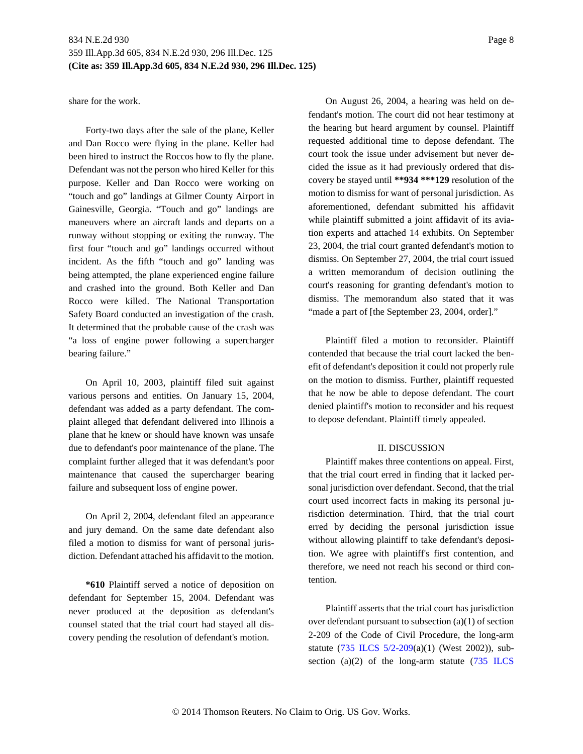share for the work.

Forty-two days after the sale of the plane, Keller and Dan Rocco were flying in the plane. Keller had been hired to instruct the Roccos how to fly the plane. Defendant was not the person who hired Keller for this purpose. Keller and Dan Rocco were working on "touch and go" landings at Gilmer County Airport in Gainesville, Georgia. "Touch and go" landings are maneuvers where an aircraft lands and departs on a runway without stopping or exiting the runway. The first four "touch and go" landings occurred without incident. As the fifth "touch and go" landing was being attempted, the plane experienced engine failure and crashed into the ground. Both Keller and Dan Rocco were killed. The National Transportation Safety Board conducted an investigation of the crash. It determined that the probable cause of the crash was "a loss of engine power following a supercharger bearing failure."

On April 10, 2003, plaintiff filed suit against various persons and entities. On January 15, 2004, defendant was added as a party defendant. The complaint alleged that defendant delivered into Illinois a plane that he knew or should have known was unsafe due to defendant's poor maintenance of the plane. The complaint further alleged that it was defendant's poor maintenance that caused the supercharger bearing failure and subsequent loss of engine power.

On April 2, 2004, defendant filed an appearance and jury demand. On the same date defendant also filed a motion to dismiss for want of personal jurisdiction. Defendant attached his affidavit to the motion.

**\*610** Plaintiff served a notice of deposition on defendant for September 15, 2004. Defendant was never produced at the deposition as defendant's counsel stated that the trial court had stayed all discovery pending the resolution of defendant's motion.

On August 26, 2004, a hearing was held on defendant's motion. The court did not hear testimony at the hearing but heard argument by counsel. Plaintiff requested additional time to depose defendant. The court took the issue under advisement but never decided the issue as it had previously ordered that discovery be stayed until **\*\*934 \*\*\*129** resolution of the motion to dismiss for want of personal jurisdiction. As aforementioned, defendant submitted his affidavit while plaintiff submitted a joint affidavit of its aviation experts and attached 14 exhibits. On September 23, 2004, the trial court granted defendant's motion to dismiss. On September 27, 2004, the trial court issued a written memorandum of decision outlining the court's reasoning for granting defendant's motion to dismiss. The memorandum also stated that it was "made a part of [the September 23, 2004, order]."

Plaintiff filed a motion to reconsider. Plaintiff contended that because the trial court lacked the benefit of defendant's deposition it could not properly rule on the motion to dismiss. Further, plaintiff requested that he now be able to depose defendant. The court denied plaintiff's motion to reconsider and his request to depose defendant. Plaintiff timely appealed.

#### II. DISCUSSION

Plaintiff makes three contentions on appeal. First, that the trial court erred in finding that it lacked personal jurisdiction over defendant. Second, that the trial court used incorrect facts in making its personal jurisdiction determination. Third, that the trial court erred by deciding the personal jurisdiction issue without allowing plaintiff to take defendant's deposition. We agree with plaintiff's first contention, and therefore, we need not reach his second or third contention.

Plaintiff asserts that the trial court has jurisdiction over defendant pursuant to subsection (a)(1) of section 2-209 of the Code of Civil Procedure, the long-arm statute (735 ILCS 5/2-209(a)(1) (West 2002)), subsection (a)(2) of the long-arm statute  $(735 \text{ ILCS})$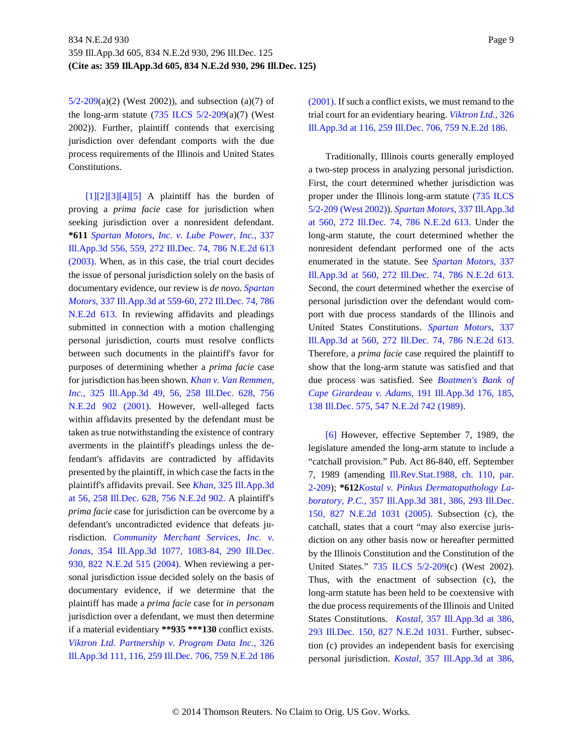$5/2-209(a)(2)$  (West 2002)), and subsection (a)(7) of the long-arm statute  $(735$  ILCS  $5/2$ -209 $(a)(7)$  (West 2002)). Further, plaintiff contends that exercising jurisdiction over defendant comports with the due process requirements of the Illinois and United States Constitutions.

<span id="page-8-4"></span><span id="page-8-3"></span><span id="page-8-2"></span><span id="page-8-1"></span><span id="page-8-0"></span> $[1][2][3][4][5]$  $[1][2][3][4][5]$  $[1][2][3][4][5]$  A plaintiff has the burden of proving a *prima facie* case for jurisdiction when seeking jurisdiction over a nonresident defendant. **\*611** *Spartan Motors, Inc. v. Lube Power, Inc.,* 337 Ill.App.3d 556, 559, 272 Ill.Dec. 74, 786 N.E.2d 613 (2003). When, as in this case, the trial court decides the issue of personal jurisdiction solely on the basis of documentary evidence, our review is *de novo. Spartan Motors,* 337 Ill.App.3d at 559-60, 272 Ill.Dec. 74, 786 N.E.2d 613. In reviewing affidavits and pleadings submitted in connection with a motion challenging personal jurisdiction, courts must resolve conflicts between such documents in the plaintiff's favor for purposes of determining whether a *prima facie* case for jurisdiction has been shown. *Khan v. Van Remmen, Inc.,* 325 Ill.App.3d 49, 56, 258 Ill.Dec. 628, 756 N.E.2d 902 (2001). However, well-alleged facts within affidavits presented by the defendant must be taken as true notwithstanding the existence of contrary averments in the plaintiff's pleadings unless the defendant's affidavits are contradicted by affidavits presented by the plaintiff, in which case the facts in the plaintiff's affidavits prevail. See *Khan,* 325 Ill.App.3d at 56, 258 Ill.Dec. 628, 756 N.E.2d 902. A plaintiff's *prima facie* case for jurisdiction can be overcome by a defendant's uncontradicted evidence that defeats jurisdiction. *Community Merchant Services, Inc. v. Jonas,* 354 Ill.App.3d 1077, 1083-84, 290 Ill.Dec. 930, 822 N.E.2d 515 (2004). When reviewing a personal jurisdiction issue decided solely on the basis of documentary evidence, if we determine that the plaintiff has made a *prima facie* case for *in personam* jurisdiction over a defendant, we must then determine if a material evidentiary **\*\*935 \*\*\*130** conflict exists. *Viktron Ltd. Partnership v. Program Data Inc.,* 326 Ill.App.3d 111, 116, 259 Ill.Dec. 706, 759 N.E.2d 186

(2001). If such a conflict exists, we must remand to the trial court for an evidentiary hearing. *Viktron Ltd.,* 326 Ill.App.3d at 116, 259 Ill.Dec. 706, 759 N.E.2d 186.

Traditionally, Illinois courts generally employed a two-step process in analyzing personal jurisdiction. First, the court determined whether jurisdiction was proper under the Illinois long-arm statute (735 ILCS 5/2-209 (West 2002)). *Spartan Motors,* 337 Ill.App.3d at 560, 272 Ill.Dec. 74, 786 N.E.2d 613. Under the long-arm statute, the court determined whether the nonresident defendant performed one of the acts enumerated in the statute. See *Spartan Motors,* 337 Ill.App.3d at 560, 272 Ill.Dec. 74, 786 N.E.2d 613. Second, the court determined whether the exercise of personal jurisdiction over the defendant would comport with due process standards of the Illinois and United States Constitutions. *Spartan Motors,* 337 Ill.App.3d at 560, 272 Ill.Dec. 74, 786 N.E.2d 613. Therefore, a *prima facie* case required the plaintiff to show that the long-arm statute was satisfied and that due process was satisfied. See *Boatmen's Bank of Cape Girardeau v. Adams,* 191 Ill.App.3d 176, 185, 138 Ill.Dec. 575, 547 N.E.2d 742 (1989).

<span id="page-8-5"></span>[\[6\]](#page-1-1) However, effective September 7, 1989, the legislature amended the long-arm statute to include a "catchall provision." Pub. Act 86-840, eff. September 7, 1989 (amending Ill.Rev.Stat.1988, ch. 110, par. 2-209); **\*612***Kostal v. Pinkus Dermatopathology Laboratory, P.C.,* 357 Ill.App.3d 381, 386, 293 Ill.Dec. 150, 827 N.E.2d 1031 (2005). Subsection (c), the catchall, states that a court "may also exercise jurisdiction on any other basis now or hereafter permitted by the Illinois Constitution and the Constitution of the United States." 735 ILCS 5/2-209(c) (West 2002). Thus, with the enactment of subsection (c), the long-arm statute has been held to be coextensive with the due process requirements of the Illinois and United States Constitutions. *Kostal,* 357 Ill.App.3d at 386, 293 Ill.Dec. 150, 827 N.E.2d 1031. Further, subsection (c) provides an independent basis for exercising personal jurisdiction. *Kostal,* 357 Ill.App.3d at 386,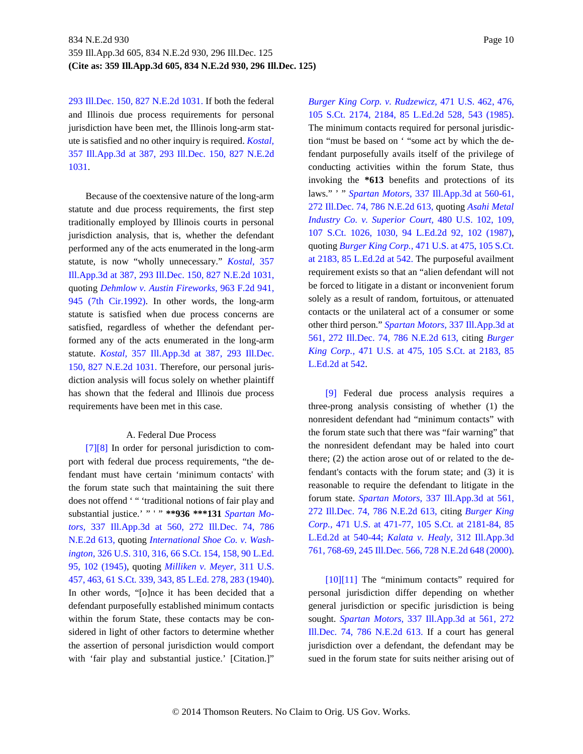293 Ill.Dec. 150, 827 N.E.2d 1031. If both the federal and Illinois due process requirements for personal jurisdiction have been met, the Illinois long-arm statute is satisfied and no other inquiry is required. *Kostal,* 357 Ill.App.3d at 387, 293 Ill.Dec. 150, 827 N.E.2d 1031.

Because of the coextensive nature of the long-arm statute and due process requirements, the first step traditionally employed by Illinois courts in personal jurisdiction analysis, that is, whether the defendant performed any of the acts enumerated in the long-arm statute, is now "wholly unnecessary." *Kostal,* 357 Ill.App.3d at 387, 293 Ill.Dec. 150, 827 N.E.2d 1031, quoting *Dehmlow v. Austin Fireworks,* 963 F.2d 941, 945 (7th Cir.1992). In other words, the long-arm statute is satisfied when due process concerns are satisfied, regardless of whether the defendant performed any of the acts enumerated in the long-arm statute. *Kostal,* 357 Ill.App.3d at 387, 293 Ill.Dec. 150, 827 N.E.2d 1031. Therefore, our personal jurisdiction analysis will focus solely on whether plaintiff has shown that the federal and Illinois due process requirements have been met in this case.

### <span id="page-9-1"></span>A. Federal Due Process

<span id="page-9-0"></span>[\[7\]\[8\]](#page-1-2) In order for personal jurisdiction to comport with federal due process requirements, "the defendant must have certain 'minimum contacts' with the forum state such that maintaining the suit there does not offend '" 'traditional notions of fair play and substantial justice.' " ' " **\*\*936 \*\*\*131** *Spartan Motors,* 337 Ill.App.3d at 560, 272 Ill.Dec. 74, 786 N.E.2d 613, quoting *International Shoe Co. v. Washington,* 326 U.S. 310, 316, 66 S.Ct. 154, 158, 90 L.Ed. 95, 102 (1945), quoting *Milliken v. Meyer,* 311 U.S. 457, 463, 61 S.Ct. 339, 343, 85 L.Ed. 278, 283 (1940). In other words, "[o]nce it has been decided that a defendant purposefully established minimum contacts within the forum State, these contacts may be considered in light of other factors to determine whether the assertion of personal jurisdiction would comport with 'fair play and substantial justice.' [Citation.]"

*Burger King Corp. v. Rudzewicz,* 471 U.S. 462, 476, 105 S.Ct. 2174, 2184, 85 L.Ed.2d 528, 543 (1985). The minimum contacts required for personal jurisdiction "must be based on ' "some act by which the defendant purposefully avails itself of the privilege of conducting activities within the forum State, thus invoking the **\*613** benefits and protections of its laws." ' " *Spartan Motors,* 337 Ill.App.3d at 560-61, 272 Ill.Dec. 74, 786 N.E.2d 613, quoting *Asahi Metal Industry Co. v. Superior Court,* 480 U.S. 102, 109, 107 S.Ct. 1026, 1030, 94 L.Ed.2d 92, 102 (1987), quoting *Burger King Corp.,* 471 U.S. at 475, 105 S.Ct. at 2183, 85 L.Ed.2d at 542. The purposeful availment requirement exists so that an "alien defendant will not be forced to litigate in a distant or inconvenient forum solely as a result of random, fortuitous, or attenuated contacts or the unilateral act of a consumer or some other third person." *Spartan Motors,* 337 Ill.App.3d at 561, 272 Ill.Dec. 74, 786 N.E.2d 613, citing *Burger King Corp.,* 471 U.S. at 475, 105 S.Ct. at 2183, 85 L.Ed.2d at 542.

<span id="page-9-2"></span>[\[9\]](#page-2-0) Federal due process analysis requires a three-prong analysis consisting of whether (1) the nonresident defendant had "minimum contacts" with the forum state such that there was "fair warning" that the nonresident defendant may be haled into court there; (2) the action arose out of or related to the defendant's contacts with the forum state; and (3) it is reasonable to require the defendant to litigate in the forum state. *Spartan Motors,* 337 Ill.App.3d at 561, 272 Ill.Dec. 74, 786 N.E.2d 613, citing *Burger King Corp.,* 471 U.S. at 471-77, 105 S.Ct. at 2181-84, 85 L.Ed.2d at 540-44; *Kalata v. Healy,* 312 Ill.App.3d 761, 768-69, 245 Ill.Dec. 566, 728 N.E.2d 648 (2000).

<span id="page-9-4"></span><span id="page-9-3"></span>[\[10\]\[11\]](#page-2-1) The "minimum contacts" required for personal jurisdiction differ depending on whether general jurisdiction or specific jurisdiction is being sought. *Spartan Motors,* 337 Ill.App.3d at 561, 272 Ill.Dec. 74, 786 N.E.2d 613. If a court has general jurisdiction over a defendant, the defendant may be sued in the forum state for suits neither arising out of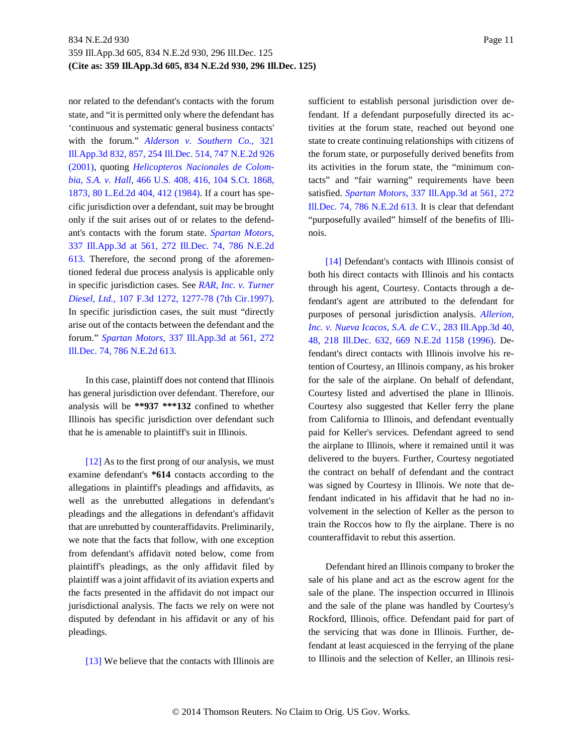nor related to the defendant's contacts with the forum state, and "it is permitted only where the defendant has 'continuous and systematic general business contacts' with the forum." *Alderson v. Southern Co.,* 321 Ill.App.3d 832, 857, 254 Ill.Dec. 514, 747 N.E.2d 926 (2001), quoting *Helicopteros Nacionales de Colombia, S.A. v. Hall,* 466 U.S. 408, 416, 104 S.Ct. 1868, 1873, 80 L.Ed.2d 404, 412 (1984). If a court has specific jurisdiction over a defendant, suit may be brought only if the suit arises out of or relates to the defendant's contacts with the forum state. *Spartan Motors,* 337 Ill.App.3d at 561, 272 Ill.Dec. 74, 786 N.E.2d 613. Therefore, the second prong of the aforementioned federal due process analysis is applicable only in specific jurisdiction cases. See *RAR, Inc. v. Turner Diesel, Ltd.,* 107 F.3d 1272, 1277-78 (7th Cir.1997). In specific jurisdiction cases, the suit must "directly arise out of the contacts between the defendant and the forum." *Spartan Motors,* 337 Ill.App.3d at 561, 272 Ill.Dec. 74, 786 N.E.2d 613.

In this case, plaintiff does not contend that Illinois has general jurisdiction over defendant. Therefore, our analysis will be **\*\*937 \*\*\*132** confined to whether Illinois has specific jurisdiction over defendant such that he is amenable to plaintiff's suit in Illinois.

<span id="page-10-0"></span>[\[12\]](#page-3-0) As to the first prong of our analysis, we must examine defendant's **\*614** contacts according to the allegations in plaintiff's pleadings and affidavits, as well as the unrebutted allegations in defendant's pleadings and the allegations in defendant's affidavit that are unrebutted by counteraffidavits. Preliminarily, we note that the facts that follow, with one exception from defendant's affidavit noted below, come from plaintiff's pleadings, as the only affidavit filed by plaintiff was a joint affidavit of its aviation experts and the facts presented in the affidavit do not impact our jurisdictional analysis. The facts we rely on were not disputed by defendant in his affidavit or any of his pleadings.

<span id="page-10-1"></span>[\[13\]](#page-3-1) We believe that the contacts with Illinois are

sufficient to establish personal jurisdiction over defendant. If a defendant purposefully directed its activities at the forum state, reached out beyond one state to create continuing relationships with citizens of the forum state, or purposefully derived benefits from its activities in the forum state, the "minimum contacts" and "fair warning" requirements have been satisfied. *Spartan Motors,* 337 Ill.App.3d at 561, 272 Ill.Dec. 74, 786 N.E.2d 613. It is clear that defendant "purposefully availed" himself of the benefits of Illinois.

<span id="page-10-2"></span>[\[14\]](#page-4-0) Defendant's contacts with Illinois consist of both his direct contacts with Illinois and his contacts through his agent, Courtesy. Contacts through a defendant's agent are attributed to the defendant for purposes of personal jurisdiction analysis. *Allerion, Inc. v. Nueva Icacos, S.A. de C.V.,* 283 Ill.App.3d 40, 48, 218 Ill.Dec. 632, 669 N.E.2d 1158 (1996). Defendant's direct contacts with Illinois involve his retention of Courtesy, an Illinois company, as his broker for the sale of the airplane. On behalf of defendant, Courtesy listed and advertised the plane in Illinois. Courtesy also suggested that Keller ferry the plane from California to Illinois, and defendant eventually paid for Keller's services. Defendant agreed to send the airplane to Illinois, where it remained until it was delivered to the buyers. Further, Courtesy negotiated the contract on behalf of defendant and the contract was signed by Courtesy in Illinois. We note that defendant indicated in his affidavit that he had no involvement in the selection of Keller as the person to train the Roccos how to fly the airplane. There is no counteraffidavit to rebut this assertion.

Defendant hired an Illinois company to broker the sale of his plane and act as the escrow agent for the sale of the plane. The inspection occurred in Illinois and the sale of the plane was handled by Courtesy's Rockford, Illinois, office. Defendant paid for part of the servicing that was done in Illinois. Further, defendant at least acquiesced in the ferrying of the plane to Illinois and the selection of Keller, an Illinois resi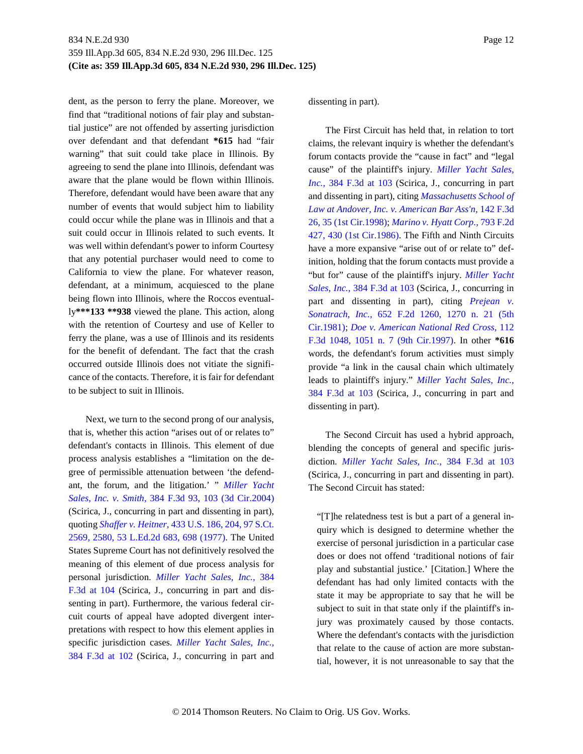dent, as the person to ferry the plane. Moreover, we find that "traditional notions of fair play and substantial justice" are not offended by asserting jurisdiction over defendant and that defendant **\*615** had "fair warning" that suit could take place in Illinois. By agreeing to send the plane into Illinois, defendant was aware that the plane would be flown within Illinois. Therefore, defendant would have been aware that any number of events that would subject him to liability could occur while the plane was in Illinois and that a suit could occur in Illinois related to such events. It was well within defendant's power to inform Courtesy that any potential purchaser would need to come to California to view the plane. For whatever reason, defendant, at a minimum, acquiesced to the plane being flown into Illinois, where the Roccos eventually**\*\*\*133 \*\*938** viewed the plane. This action, along with the retention of Courtesy and use of Keller to ferry the plane, was a use of Illinois and its residents for the benefit of defendant. The fact that the crash occurred outside Illinois does not vitiate the significance of the contacts. Therefore, it is fair for defendant to be subject to suit in Illinois.

Next, we turn to the second prong of our analysis, that is, whether this action "arises out of or relates to" defendant's contacts in Illinois. This element of due process analysis establishes a "limitation on the degree of permissible attenuation between 'the defendant, the forum, and the litigation.' " *Miller Yacht Sales, Inc. v. Smith,* 384 F.3d 93, 103 (3d Cir.2004) (Scirica, J., concurring in part and dissenting in part), quoting *Shaffer v. Heitner,* 433 U.S. 186, 204, 97 S.Ct. 2569, 2580, 53 L.Ed.2d 683, 698 (1977). The United States Supreme Court has not definitively resolved the meaning of this element of due process analysis for personal jurisdiction. *Miller Yacht Sales, Inc.,* 384 F.3d at 104 (Scirica, J., concurring in part and dissenting in part). Furthermore, the various federal circuit courts of appeal have adopted divergent interpretations with respect to how this element applies in specific jurisdiction cases. *Miller Yacht Sales, Inc.,* 384 F.3d at 102 (Scirica, J., concurring in part and dissenting in part).

The First Circuit has held that, in relation to tort claims, the relevant inquiry is whether the defendant's forum contacts provide the "cause in fact" and "legal cause" of the plaintiff's injury. *Miller Yacht Sales, Inc.,* 384 F.3d at 103 (Scirica, J., concurring in part and dissenting in part), citing *Massachusetts School of Law at Andover, Inc. v. American Bar Ass'n,* 142 F.3d 26, 35 (1st Cir.1998); *Marino v. Hyatt Corp.,* 793 F.2d 427, 430 (1st Cir.1986). The Fifth and Ninth Circuits have a more expansive "arise out of or relate to" definition, holding that the forum contacts must provide a "but for" cause of the plaintiff's injury. *Miller Yacht Sales, Inc.,* 384 F.3d at 103 (Scirica, J., concurring in part and dissenting in part), citing *Prejean v. Sonatrach, Inc.,* 652 F.2d 1260, 1270 n. 21 (5th Cir.1981); *Doe v. American National Red Cross,* 112 F.3d 1048, 1051 n. 7 (9th Cir.1997). In other **\*616** words, the defendant's forum activities must simply provide "a link in the causal chain which ultimately leads to plaintiff's injury." *Miller Yacht Sales, Inc.,* 384 F.3d at 103 (Scirica, J., concurring in part and dissenting in part).

The Second Circuit has used a hybrid approach, blending the concepts of general and specific jurisdiction. *Miller Yacht Sales, Inc.,* 384 F.3d at 103 (Scirica, J., concurring in part and dissenting in part). The Second Circuit has stated:

"[T]he relatedness test is but a part of a general inquiry which is designed to determine whether the exercise of personal jurisdiction in a particular case does or does not offend 'traditional notions of fair play and substantial justice.' [Citation.] Where the defendant has had only limited contacts with the state it may be appropriate to say that he will be subject to suit in that state only if the plaintiff's injury was proximately caused by those contacts. Where the defendant's contacts with the jurisdiction that relate to the cause of action are more substantial, however, it is not unreasonable to say that the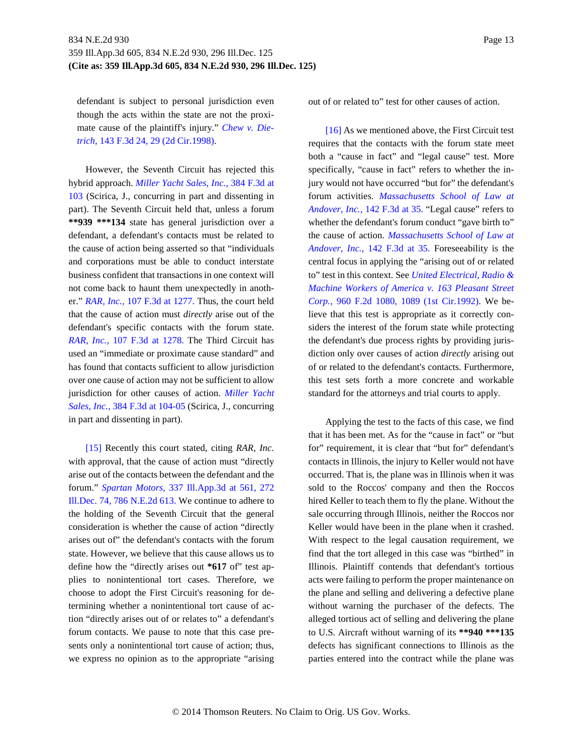defendant is subject to personal jurisdiction even though the acts within the state are not the proximate cause of the plaintiff's injury." *Chew v. Dietrich,* 143 F.3d 24, 29 (2d Cir.1998).

However, the Seventh Circuit has rejected this hybrid approach. *Miller Yacht Sales, Inc.,* 384 F.3d at 103 (Scirica, J., concurring in part and dissenting in part). The Seventh Circuit held that, unless a forum **\*\*939 \*\*\*134** state has general jurisdiction over a defendant, a defendant's contacts must be related to the cause of action being asserted so that "individuals and corporations must be able to conduct interstate business confident that transactions in one context will not come back to haunt them unexpectedly in another." *RAR, Inc.,* 107 F.3d at 1277. Thus, the court held that the cause of action must *directly* arise out of the defendant's specific contacts with the forum state. *RAR, Inc.,* 107 F.3d at 1278. The Third Circuit has used an "immediate or proximate cause standard" and has found that contacts sufficient to allow jurisdiction over one cause of action may not be sufficient to allow jurisdiction for other causes of action. *Miller Yacht Sales, Inc.,* 384 F.3d at 104-05 (Scirica, J., concurring in part and dissenting in part).

<span id="page-12-0"></span>[\[15\]](#page-4-1) Recently this court stated, citing *RAR, Inc.* with approval, that the cause of action must "directly arise out of the contacts between the defendant and the forum." *Spartan Motors,* 337 Ill.App.3d at 561, 272 Ill.Dec. 74, 786 N.E.2d 613. We continue to adhere to the holding of the Seventh Circuit that the general consideration is whether the cause of action "directly arises out of" the defendant's contacts with the forum state. However, we believe that this cause allows us to define how the "directly arises out **\*617** of" test applies to nonintentional tort cases. Therefore, we choose to adopt the First Circuit's reasoning for determining whether a nonintentional tort cause of action "directly arises out of or relates to" a defendant's forum contacts. We pause to note that this case presents only a nonintentional tort cause of action; thus, we express no opinion as to the appropriate "arising

out of or related to" test for other causes of action.

<span id="page-12-1"></span>[\[16\]](#page-4-2) As we mentioned above, the First Circuit test requires that the contacts with the forum state meet both a "cause in fact" and "legal cause" test. More specifically, "cause in fact" refers to whether the injury would not have occurred "but for" the defendant's forum activities. *Massachusetts School of Law at Andover, Inc.,* 142 F.3d at 35. "Legal cause" refers to whether the defendant's forum conduct "gave birth to" the cause of action. *Massachusetts School of Law at Andover, Inc.,* 142 F.3d at 35. Foreseeability is the central focus in applying the "arising out of or related to" test in this context. See *United Electrical, Radio & Machine Workers of America v. 163 Pleasant Street Corp.,* 960 F.2d 1080, 1089 (1st Cir.1992). We believe that this test is appropriate as it correctly considers the interest of the forum state while protecting the defendant's due process rights by providing jurisdiction only over causes of action *directly* arising out of or related to the defendant's contacts. Furthermore, this test sets forth a more concrete and workable standard for the attorneys and trial courts to apply.

Applying the test to the facts of this case, we find that it has been met. As for the "cause in fact" or "but for" requirement, it is clear that "but for" defendant's contacts in Illinois, the injury to Keller would not have occurred. That is, the plane was in Illinois when it was sold to the Roccos' company and then the Roccos hired Keller to teach them to fly the plane. Without the sale occurring through Illinois, neither the Roccos nor Keller would have been in the plane when it crashed. With respect to the legal causation requirement, we find that the tort alleged in this case was "birthed" in Illinois. Plaintiff contends that defendant's tortious acts were failing to perform the proper maintenance on the plane and selling and delivering a defective plane without warning the purchaser of the defects. The alleged tortious act of selling and delivering the plane to U.S. Aircraft without warning of its **\*\*940 \*\*\*135** defects has significant connections to Illinois as the parties entered into the contract while the plane was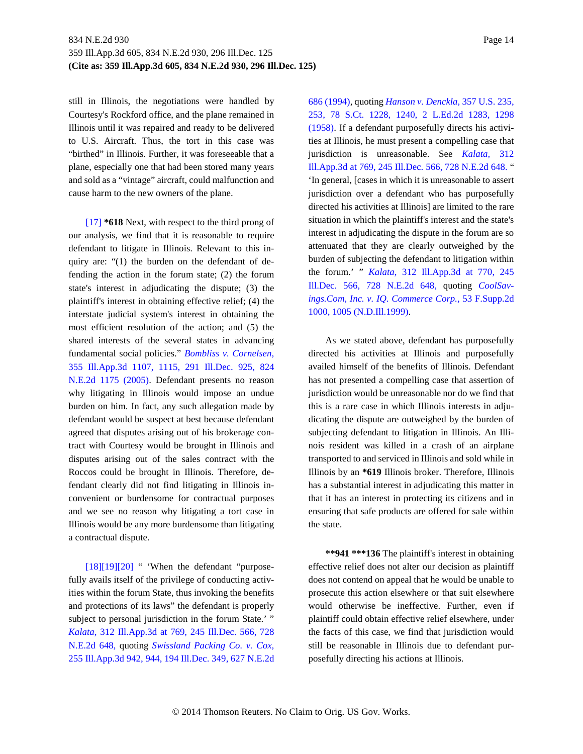still in Illinois, the negotiations were handled by Courtesy's Rockford office, and the plane remained in Illinois until it was repaired and ready to be delivered to U.S. Aircraft. Thus, the tort in this case was "birthed" in Illinois. Further, it was foreseeable that a plane, especially one that had been stored many years and sold as a "vintage" aircraft, could malfunction and cause harm to the new owners of the plane.

<span id="page-13-0"></span>[\[17\]](#page-4-3) **\*618** Next, with respect to the third prong of our analysis, we find that it is reasonable to require defendant to litigate in Illinois. Relevant to this inquiry are: "(1) the burden on the defendant of defending the action in the forum state; (2) the forum state's interest in adjudicating the dispute; (3) the plaintiff's interest in obtaining effective relief; (4) the interstate judicial system's interest in obtaining the most efficient resolution of the action; and (5) the shared interests of the several states in advancing fundamental social policies." *Bombliss v. Cornelsen,* 355 Ill.App.3d 1107, 1115, 291 Ill.Dec. 925, 824 N.E.2d 1175 (2005). Defendant presents no reason why litigating in Illinois would impose an undue burden on him. In fact, any such allegation made by defendant would be suspect at best because defendant agreed that disputes arising out of his brokerage contract with Courtesy would be brought in Illinois and disputes arising out of the sales contract with the Roccos could be brought in Illinois. Therefore, defendant clearly did not find litigating in Illinois inconvenient or burdensome for contractual purposes and we see no reason why litigating a tort case in Illinois would be any more burdensome than litigating a contractual dispute.

<span id="page-13-3"></span><span id="page-13-2"></span><span id="page-13-1"></span> $[18][19][20]$  $[18][19][20]$  " 'When the defendant "purposefully avails itself of the privilege of conducting activities within the forum State, thus invoking the benefits and protections of its laws" the defendant is properly subject to personal jurisdiction in the forum State.' " *Kalata,* 312 Ill.App.3d at 769, 245 Ill.Dec. 566, 728 N.E.2d 648, quoting *Swissland Packing Co. v. Cox,* 255 Ill.App.3d 942, 944, 194 Ill.Dec. 349, 627 N.E.2d

686 (1994), quoting *Hanson v. Denckla,* 357 U.S. 235, 253, 78 S.Ct. 1228, 1240, 2 L.Ed.2d 1283, 1298 (1958). If a defendant purposefully directs his activities at Illinois, he must present a compelling case that jurisdiction is unreasonable. See *Kalata,* 312 Ill.App.3d at 769, 245 Ill.Dec. 566, 728 N.E.2d 648. " 'In general, [cases in which it is unreasonable to assert jurisdiction over a defendant who has purposefully directed his activities at Illinois] are limited to the rare situation in which the plaintiff's interest and the state's interest in adjudicating the dispute in the forum are so attenuated that they are clearly outweighed by the burden of subjecting the defendant to litigation within the forum.' " *Kalata,* 312 Ill.App.3d at 770, 245 Ill.Dec. 566, 728 N.E.2d 648, quoting *CoolSavings.Com, Inc. v. IQ. Commerce Corp.,* 53 F.Supp.2d 1000, 1005 (N.D.Ill.1999).

As we stated above, defendant has purposefully directed his activities at Illinois and purposefully availed himself of the benefits of Illinois. Defendant has not presented a compelling case that assertion of jurisdiction would be unreasonable nor do we find that this is a rare case in which Illinois interests in adjudicating the dispute are outweighed by the burden of subjecting defendant to litigation in Illinois. An Illinois resident was killed in a crash of an airplane transported to and serviced in Illinois and sold while in Illinois by an **\*619** Illinois broker. Therefore, Illinois has a substantial interest in adjudicating this matter in that it has an interest in protecting its citizens and in ensuring that safe products are offered for sale within the state.

**\*\*941 \*\*\*136** The plaintiff's interest in obtaining effective relief does not alter our decision as plaintiff does not contend on appeal that he would be unable to prosecute this action elsewhere or that suit elsewhere would otherwise be ineffective. Further, even if plaintiff could obtain effective relief elsewhere, under the facts of this case, we find that jurisdiction would still be reasonable in Illinois due to defendant purposefully directing his actions at Illinois.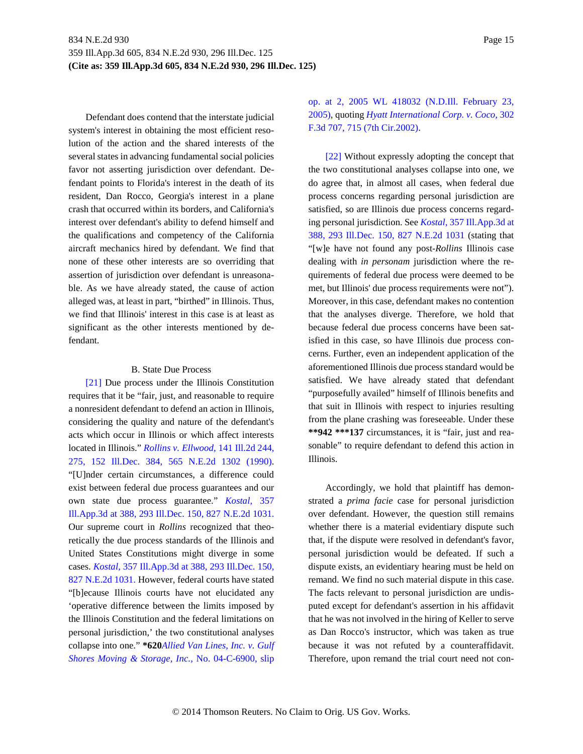Defendant does contend that the interstate judicial system's interest in obtaining the most efficient resolution of the action and the shared interests of the several states in advancing fundamental social policies favor not asserting jurisdiction over defendant. Defendant points to Florida's interest in the death of its resident, Dan Rocco, Georgia's interest in a plane crash that occurred within its borders, and California's interest over defendant's ability to defend himself and the qualifications and competency of the California aircraft mechanics hired by defendant. We find that none of these other interests are so overriding that assertion of jurisdiction over defendant is unreasonable. As we have already stated, the cause of action alleged was, at least in part, "birthed" in Illinois. Thus, we find that Illinois' interest in this case is at least as significant as the other interests mentioned by defendant.

#### B. State Due Process

<span id="page-14-0"></span>[\[21\]](#page-5-2) Due process under the Illinois Constitution requires that it be "fair, just, and reasonable to require a nonresident defendant to defend an action in Illinois, considering the quality and nature of the defendant's acts which occur in Illinois or which affect interests located in Illinois." *Rollins v. Ellwood,* 141 Ill.2d 244, 275, 152 Ill.Dec. 384, 565 N.E.2d 1302 (1990). "[U]nder certain circumstances, a difference could exist between federal due process guarantees and our own state due process guarantee." *Kostal,* 357 Ill.App.3d at 388, 293 Ill.Dec. 150, 827 N.E.2d 1031. Our supreme court in *Rollins* recognized that theoretically the due process standards of the Illinois and United States Constitutions might diverge in some cases. *Kostal,* 357 Ill.App.3d at 388, 293 Ill.Dec. 150, 827 N.E.2d 1031. However, federal courts have stated "[b]ecause Illinois courts have not elucidated any 'operative difference between the limits imposed by the Illinois Constitution and the federal limitations on personal jurisdiction,' the two constitutional analyses collapse into one." **\*620***Allied Van Lines, Inc. v. Gulf Shores Moving & Storage, Inc.,* No. 04-C-6900, slip op. at 2, 2005 WL 418032 (N.D.Ill. February 23, 2005), quoting *Hyatt International Corp. v. Coco,* 302 F.3d 707, 715 (7th Cir.2002).

<span id="page-14-1"></span>[\[22\]](#page-6-0) Without expressly adopting the concept that the two constitutional analyses collapse into one, we do agree that, in almost all cases, when federal due process concerns regarding personal jurisdiction are satisfied, so are Illinois due process concerns regarding personal jurisdiction. See *Kostal,* 357 Ill.App.3d at 388, 293 Ill.Dec. 150, 827 N.E.2d 1031 (stating that "[w]e have not found any post-*Rollins* Illinois case dealing with *in personam* jurisdiction where the requirements of federal due process were deemed to be met, but Illinois' due process requirements were not"). Moreover, in this case, defendant makes no contention that the analyses diverge. Therefore, we hold that because federal due process concerns have been satisfied in this case, so have Illinois due process concerns. Further, even an independent application of the aforementioned Illinois due process standard would be satisfied. We have already stated that defendant "purposefully availed" himself of Illinois benefits and that suit in Illinois with respect to injuries resulting from the plane crashing was foreseeable. Under these **\*\*942 \*\*\*137** circumstances, it is "fair, just and reasonable" to require defendant to defend this action in Illinois.

Accordingly, we hold that plaintiff has demonstrated a *prima facie* case for personal jurisdiction over defendant. However, the question still remains whether there is a material evidentiary dispute such that, if the dispute were resolved in defendant's favor, personal jurisdiction would be defeated. If such a dispute exists, an evidentiary hearing must be held on remand. We find no such material dispute in this case. The facts relevant to personal jurisdiction are undisputed except for defendant's assertion in his affidavit that he was not involved in the hiring of Keller to serve as Dan Rocco's instructor, which was taken as true because it was not refuted by a counteraffidavit. Therefore, upon remand the trial court need not con